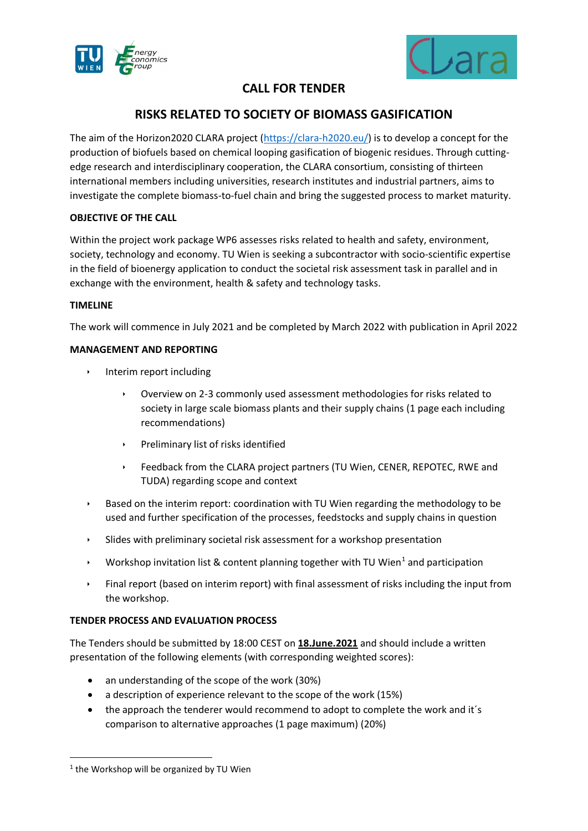



# **CALL FOR TENDER**

# **RISKS RELATED TO SOCIETY OF BIOMASS GASIFICATION**

The aim of the Horizon2020 CLARA project [\(https://clara-h2020.eu/\)](https://clara-h2020.eu/) is to develop a concept for the production of biofuels based on chemical looping gasification of biogenic residues. Through cuttingedge research and interdisciplinary cooperation, the CLARA consortium, consisting of thirteen international members including universities, research institutes and industrial partners, aims to investigate the complete biomass-to-fuel chain and bring the suggested process to market maturity.

## **OBJECTIVE OF THE CALL**

Within the project work package WP6 assesses risks related to health and safety, environment, society, technology and economy. TU Wien is seeking a subcontractor with socio-scientific expertise in the field of bioenergy application to conduct the societal risk assessment task in parallel and in exchange with the environment, health & safety and technology tasks.

### **TIMELINE**

The work will commence in July 2021 and be completed by March 2022 with publication in April 2022

### **MANAGEMENT AND REPORTING**

- **Interim report including** 
	- Overview on 2-3 commonly used assessment methodologies for risks related to society in large scale biomass plants and their supply chains (1 page each including recommendations)
	- Preliminary list of risks identified
	- Feedback from the CLARA project partners (TU Wien, CENER, REPOTEC, RWE and TUDA) regarding scope and context
- Based on the interim report: coordination with TU Wien regarding the methodology to be used and further specification of the processes, feedstocks and supply chains in question
- Slides with preliminary societal risk assessment for a workshop presentation
- Workshop invitation list & content planning together with TU Wien<sup>[1](#page-0-0)</sup> and participation
- Final report (based on interim report) with final assessment of risks including the input from the workshop.

## **TENDER PROCESS AND EVALUATION PROCESS**

The Tenders should be submitted by 18:00 CEST on **18.June.2021** and should include a written presentation of the following elements (with corresponding weighted scores):

- an understanding of the scope of the work (30%)
- a description of experience relevant to the scope of the work (15%)
- the approach the tenderer would recommend to adopt to complete the work and it's comparison to alternative approaches (1 page maximum) (20%)

<span id="page-0-0"></span><sup>&</sup>lt;sup>1</sup> the Workshop will be organized by TU Wien